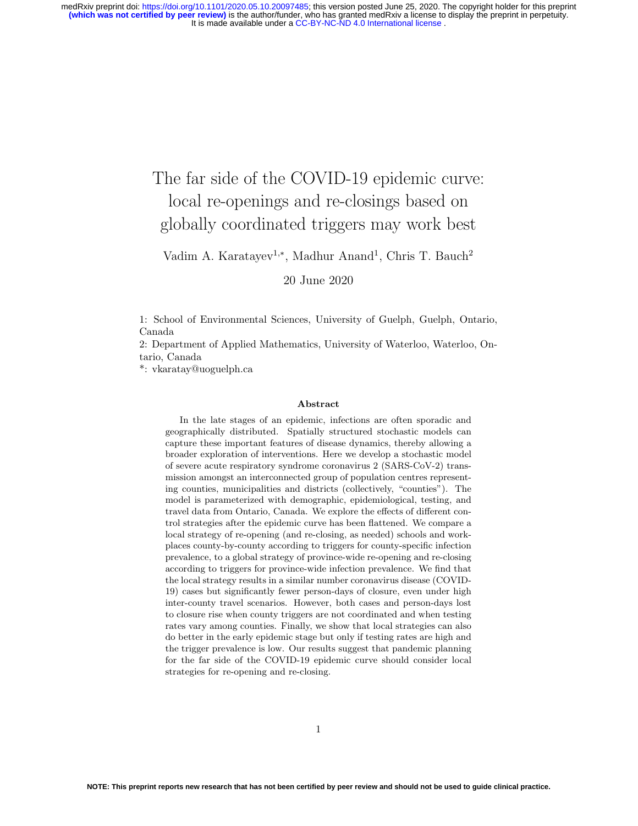# The far side of the COVID-19 epidemic curve: local re-openings and re-closings based on globally coordinated triggers may work best

Vadim A. Karatayev<sup>1,\*</sup>, Madhur Anand<sup>1</sup>, Chris T. Bauch<sup>2</sup>

20 June 2020

1: School of Environmental Sciences, University of Guelph, Guelph, Ontario, Canada

2: Department of Applied Mathematics, University of Waterloo, Waterloo, Ontario, Canada

\*: vkaratay@uoguelph.ca

#### Abstract

In the late stages of an epidemic, infections are often sporadic and geographically distributed. Spatially structured stochastic models can capture these important features of disease dynamics, thereby allowing a broader exploration of interventions. Here we develop a stochastic model of severe acute respiratory syndrome coronavirus 2 (SARS-CoV-2) transmission amongst an interconnected group of population centres representing counties, municipalities and districts (collectively, "counties"). The model is parameterized with demographic, epidemiological, testing, and travel data from Ontario, Canada. We explore the effects of different control strategies after the epidemic curve has been flattened. We compare a local strategy of re-opening (and re-closing, as needed) schools and workplaces county-by-county according to triggers for county-specific infection prevalence, to a global strategy of province-wide re-opening and re-closing according to triggers for province-wide infection prevalence. We find that the local strategy results in a similar number coronavirus disease (COVID-19) cases but significantly fewer person-days of closure, even under high inter-county travel scenarios. However, both cases and person-days lost to closure rise when county triggers are not coordinated and when testing rates vary among counties. Finally, we show that local strategies can also do better in the early epidemic stage but only if testing rates are high and the trigger prevalence is low. Our results suggest that pandemic planning for the far side of the COVID-19 epidemic curve should consider local strategies for re-opening and re-closing.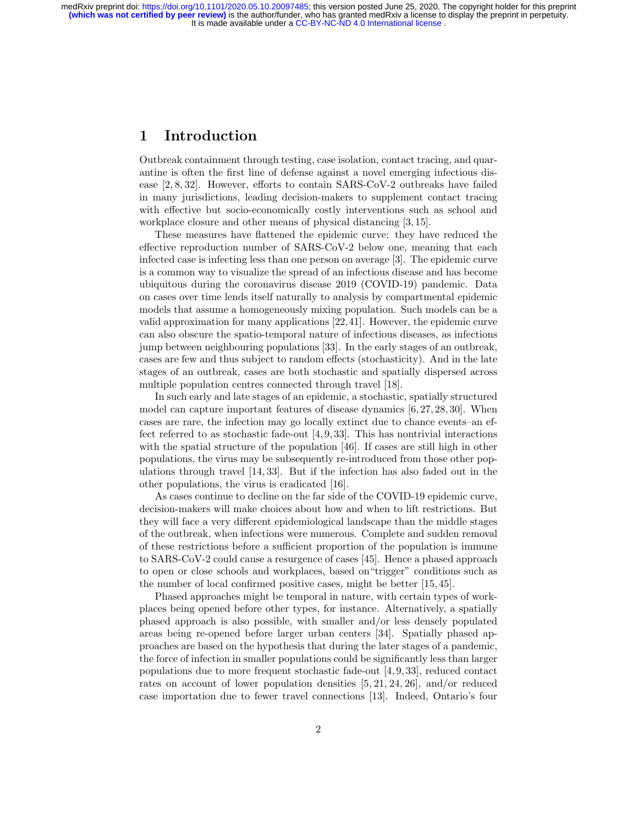# 1 Introduction

Outbreak containment through testing, case isolation, contact tracing, and quarantine is often the first line of defense against a novel emerging infectious disease [2, 8, 32]. However, efforts to contain SARS-CoV-2 outbreaks have failed in many jurisdictions, leading decision-makers to supplement contact tracing with effective but socio-economically costly interventions such as school and workplace closure and other means of physical distancing [3, 15].

These measures have flattened the epidemic curve: they have reduced the effective reproduction number of SARS-CoV-2 below one, meaning that each infected case is infecting less than one person on average [3]. The epidemic curve is a common way to visualize the spread of an infectious disease and has become ubiquitous during the coronavirus disease 2019 (COVID-19) pandemic. Data on cases over time lends itself naturally to analysis by compartmental epidemic models that assume a homogeneously mixing population. Such models can be a valid approximation for many applications [22,41]. However, the epidemic curve can also obscure the spatio-temporal nature of infectious diseases, as infections jump between neighbouring populations [33]. In the early stages of an outbreak, cases are few and thus subject to random effects (stochasticity). And in the late stages of an outbreak, cases are both stochastic and spatially dispersed across multiple population centres connected through travel [18].

In such early and late stages of an epidemic, a stochastic, spatially structured model can capture important features of disease dynamics [6, 27, 28, 30]. When cases are rare, the infection may go locally extinct due to chance events–an effect referred to as stochastic fade-out [4, 9, 33]. This has nontrivial interactions with the spatial structure of the population [46]. If cases are still high in other populations, the virus may be subsequently re-introduced from those other populations through travel [14, 33]. But if the infection has also faded out in the other populations, the virus is eradicated [16].

As cases continue to decline on the far side of the COVID-19 epidemic curve, decision-makers will make choices about how and when to lift restrictions. But they will face a very different epidemiological landscape than the middle stages of the outbreak, when infections were numerous. Complete and sudden removal of these restrictions before a sufficient proportion of the population is immune to SARS-CoV-2 could cause a resurgence of cases [45]. Hence a phased approach to open or close schools and workplaces, based on"trigger" conditions such as the number of local confirmed positive cases, might be better [15, 45].

Phased approaches might be temporal in nature, with certain types of workplaces being opened before other types, for instance. Alternatively, a spatially phased approach is also possible, with smaller and/or less densely populated areas being re-opened before larger urban centers [34]. Spatially phased approaches are based on the hypothesis that during the later stages of a pandemic, the force of infection in smaller populations could be significantly less than larger populations due to more frequent stochastic fade-out [4, 9, 33], reduced contact rates on account of lower population densities [5, 21, 24, 26], and/or reduced case importation due to fewer travel connections [13]. Indeed, Ontario's four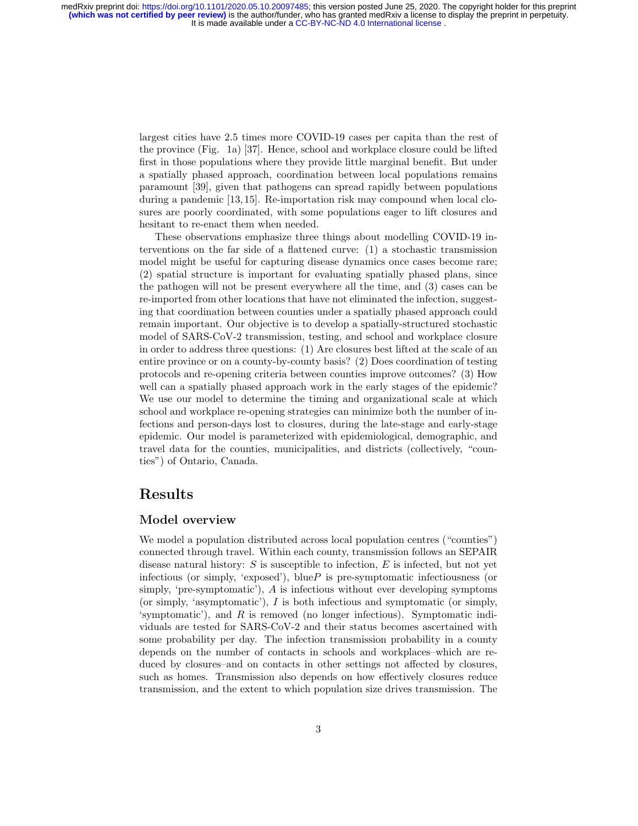> largest cities have 2.5 times more COVID-19 cases per capita than the rest of the province (Fig. 1a) [37]. Hence, school and workplace closure could be lifted first in those populations where they provide little marginal benefit. But under a spatially phased approach, coordination between local populations remains paramount [39], given that pathogens can spread rapidly between populations during a pandemic [13, 15]. Re-importation risk may compound when local closures are poorly coordinated, with some populations eager to lift closures and hesitant to re-enact them when needed.

> These observations emphasize three things about modelling COVID-19 interventions on the far side of a flattened curve: (1) a stochastic transmission model might be useful for capturing disease dynamics once cases become rare; (2) spatial structure is important for evaluating spatially phased plans, since the pathogen will not be present everywhere all the time, and (3) cases can be re-imported from other locations that have not eliminated the infection, suggesting that coordination between counties under a spatially phased approach could remain important. Our objective is to develop a spatially-structured stochastic model of SARS-CoV-2 transmission, testing, and school and workplace closure in order to address three questions: (1) Are closures best lifted at the scale of an entire province or on a county-by-county basis? (2) Does coordination of testing protocols and re-opening criteria between counties improve outcomes? (3) How well can a spatially phased approach work in the early stages of the epidemic? We use our model to determine the timing and organizational scale at which school and workplace re-opening strategies can minimize both the number of infections and person-days lost to closures, during the late-stage and early-stage epidemic. Our model is parameterized with epidemiological, demographic, and travel data for the counties, municipalities, and districts (collectively, "counties") of Ontario, Canada.

# Results

## Model overview

We model a population distributed across local population centres ("counties") connected through travel. Within each county, transmission follows an SEPAIR disease natural history:  $S$  is susceptible to infection,  $E$  is infected, but not yet infectious (or simply, 'exposed'), blue  $P$  is pre-symptomatic infectiousness (or simply, 'pre-symptomatic'), A is infectious without ever developing symptoms (or simply, 'asymptomatic'), I is both infectious and symptomatic (or simply, 'symptomatic'), and R is removed (no longer infectious). Symptomatic individuals are tested for SARS-CoV-2 and their status becomes ascertained with some probability per day. The infection transmission probability in a county depends on the number of contacts in schools and workplaces–which are reduced by closures–and on contacts in other settings not affected by closures, such as homes. Transmission also depends on how effectively closures reduce transmission, and the extent to which population size drives transmission. The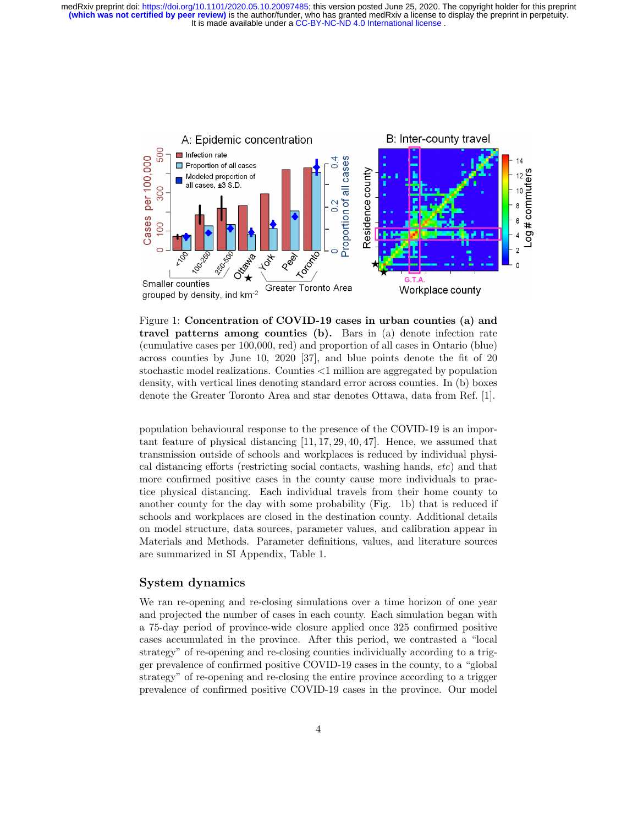

Figure 1: Concentration of COVID-19 cases in urban counties (a) and travel patterns among counties (b). Bars in (a) denote infection rate (cumulative cases per 100,000, red) and proportion of all cases in Ontario (blue) across counties by June 10, 2020 [37], and blue points denote the fit of 20 stochastic model realizations. Counties <1 million are aggregated by population density, with vertical lines denoting standard error across counties. In (b) boxes denote the Greater Toronto Area and star denotes Ottawa, data from Ref. [1].

population behavioural response to the presence of the COVID-19 is an important feature of physical distancing [11, 17, 29, 40, 47]. Hence, we assumed that transmission outside of schools and workplaces is reduced by individual physical distancing efforts (restricting social contacts, washing hands, etc) and that more confirmed positive cases in the county cause more individuals to practice physical distancing. Each individual travels from their home county to another county for the day with some probability (Fig. 1b) that is reduced if schools and workplaces are closed in the destination county. Additional details on model structure, data sources, parameter values, and calibration appear in Materials and Methods. Parameter definitions, values, and literature sources are summarized in SI Appendix, Table 1.

## System dynamics

We ran re-opening and re-closing simulations over a time horizon of one year and projected the number of cases in each county. Each simulation began with a 75-day period of province-wide closure applied once 325 confirmed positive cases accumulated in the province. After this period, we contrasted a "local strategy" of re-opening and re-closing counties individually according to a trigger prevalence of confirmed positive COVID-19 cases in the county, to a "global strategy" of re-opening and re-closing the entire province according to a trigger prevalence of confirmed positive COVID-19 cases in the province. Our model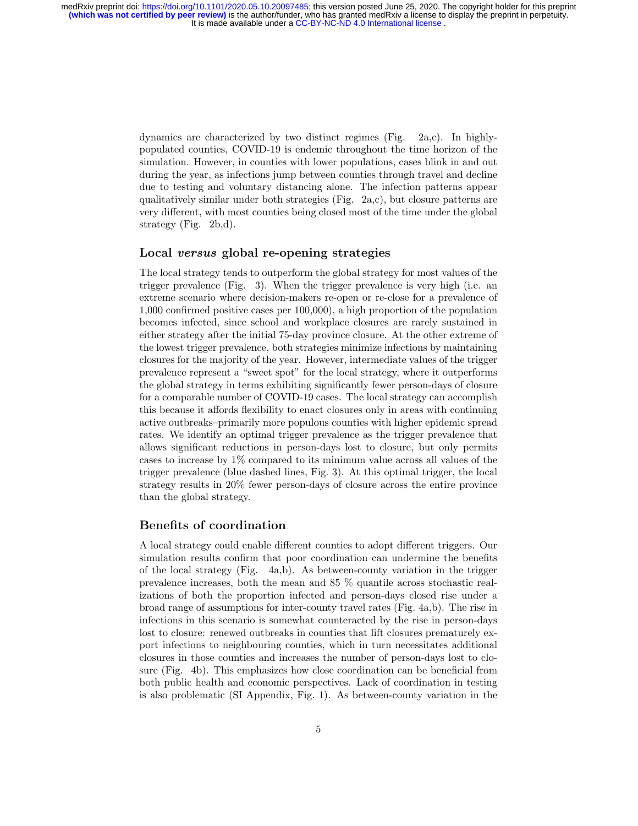> dynamics are characterized by two distinct regimes (Fig. 2a,c). In highlypopulated counties, COVID-19 is endemic throughout the time horizon of the simulation. However, in counties with lower populations, cases blink in and out during the year, as infections jump between counties through travel and decline due to testing and voluntary distancing alone. The infection patterns appear qualitatively similar under both strategies (Fig. 2a,c), but closure patterns are very different, with most counties being closed most of the time under the global strategy (Fig. 2b,d).

## Local versus global re-opening strategies

The local strategy tends to outperform the global strategy for most values of the trigger prevalence (Fig. 3). When the trigger prevalence is very high (i.e. an extreme scenario where decision-makers re-open or re-close for a prevalence of 1,000 confirmed positive cases per 100,000), a high proportion of the population becomes infected, since school and workplace closures are rarely sustained in either strategy after the initial 75-day province closure. At the other extreme of the lowest trigger prevalence, both strategies minimize infections by maintaining closures for the majority of the year. However, intermediate values of the trigger prevalence represent a "sweet spot" for the local strategy, where it outperforms the global strategy in terms exhibiting significantly fewer person-days of closure for a comparable number of COVID-19 cases. The local strategy can accomplish this because it affords flexibility to enact closures only in areas with continuing active outbreaks–primarily more populous counties with higher epidemic spread rates. We identify an optimal trigger prevalence as the trigger prevalence that allows significant reductions in person-days lost to closure, but only permits cases to increase by 1% compared to its minimum value across all values of the trigger prevalence (blue dashed lines, Fig. 3). At this optimal trigger, the local strategy results in 20% fewer person-days of closure across the entire province than the global strategy.

### Benefits of coordination

A local strategy could enable different counties to adopt different triggers. Our simulation results confirm that poor coordination can undermine the benefits of the local strategy (Fig. 4a,b). As between-county variation in the trigger prevalence increases, both the mean and 85 % quantile across stochastic realizations of both the proportion infected and person-days closed rise under a broad range of assumptions for inter-county travel rates (Fig. 4a,b). The rise in infections in this scenario is somewhat counteracted by the rise in person-days lost to closure: renewed outbreaks in counties that lift closures prematurely export infections to neighbouring counties, which in turn necessitates additional closures in those counties and increases the number of person-days lost to closure (Fig. 4b). This emphasizes how close coordination can be beneficial from both public health and economic perspectives. Lack of coordination in testing is also problematic (SI Appendix, Fig. 1). As between-county variation in the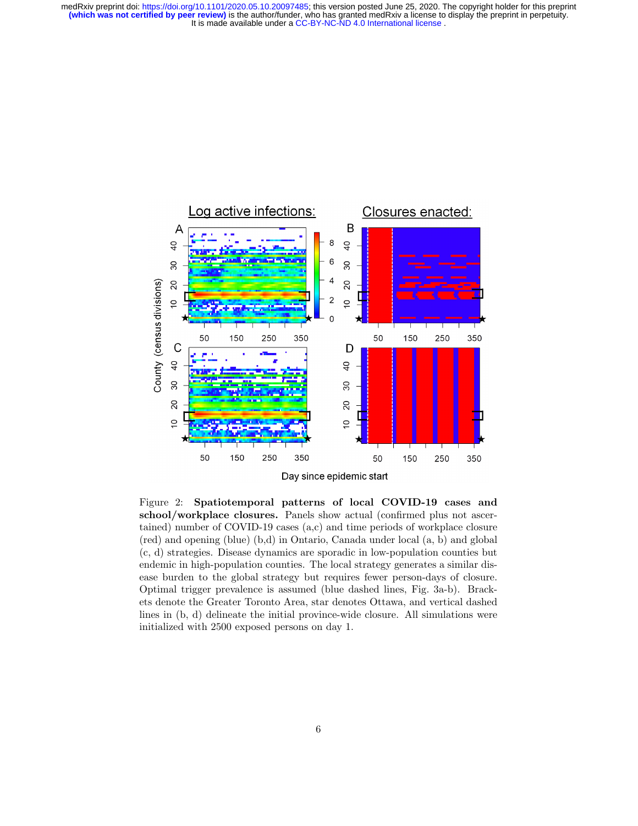

Figure 2: Spatiotemporal patterns of local COVID-19 cases and school/workplace closures. Panels show actual (confirmed plus not ascertained) number of COVID-19 cases (a,c) and time periods of workplace closure (red) and opening (blue) (b,d) in Ontario, Canada under local (a, b) and global (c, d) strategies. Disease dynamics are sporadic in low-population counties but endemic in high-population counties. The local strategy generates a similar disease burden to the global strategy but requires fewer person-days of closure. Optimal trigger prevalence is assumed (blue dashed lines, Fig. 3a-b). Brackets denote the Greater Toronto Area, star denotes Ottawa, and vertical dashed lines in (b, d) delineate the initial province-wide closure. All simulations were initialized with 2500 exposed persons on day 1.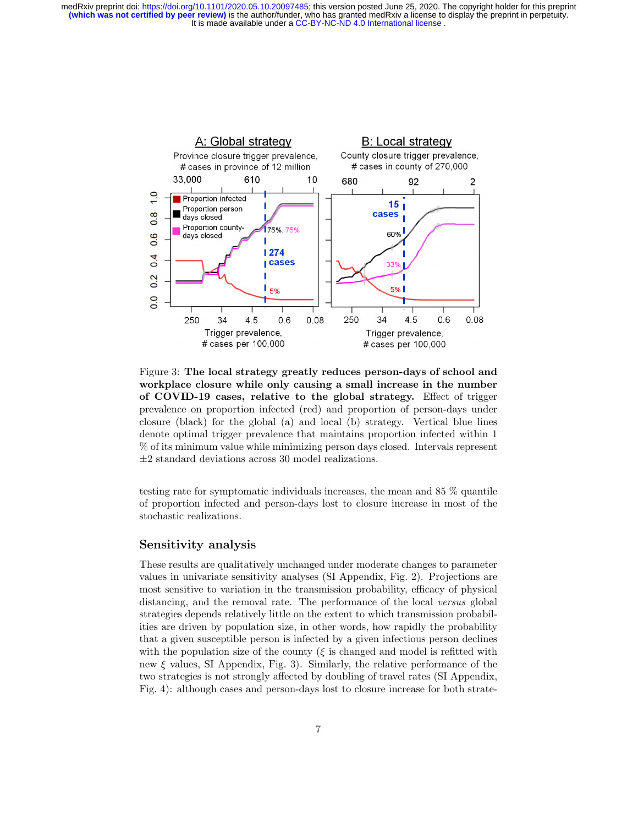

Figure 3: The local strategy greatly reduces person-days of school and workplace closure while only causing a small increase in the number of COVID-19 cases, relative to the global strategy. Effect of trigger prevalence on proportion infected (red) and proportion of person-days under closure (black) for the global (a) and local (b) strategy. Vertical blue lines denote optimal trigger prevalence that maintains proportion infected within 1 % of its minimum value while minimizing person days closed. Intervals represent  $\pm 2$  standard deviations across 30 model realizations.

testing rate for symptomatic individuals increases, the mean and 85 % quantile of proportion infected and person-days lost to closure increase in most of the stochastic realizations.

## Sensitivity analysis

These results are qualitatively unchanged under moderate changes to parameter values in univariate sensitivity analyses (SI Appendix, Fig. 2). Projections are most sensitive to variation in the transmission probability, efficacy of physical distancing, and the removal rate. The performance of the local versus global strategies depends relatively little on the extent to which transmission probabilities are driven by population size, in other words, how rapidly the probability that a given susceptible person is infected by a given infectious person declines with the population size of the county ( $\xi$  is changed and model is refitted with new  $\xi$  values, SI Appendix, Fig. 3). Similarly, the relative performance of the two strategies is not strongly affected by doubling of travel rates (SI Appendix, Fig. 4): although cases and person-days lost to closure increase for both strate-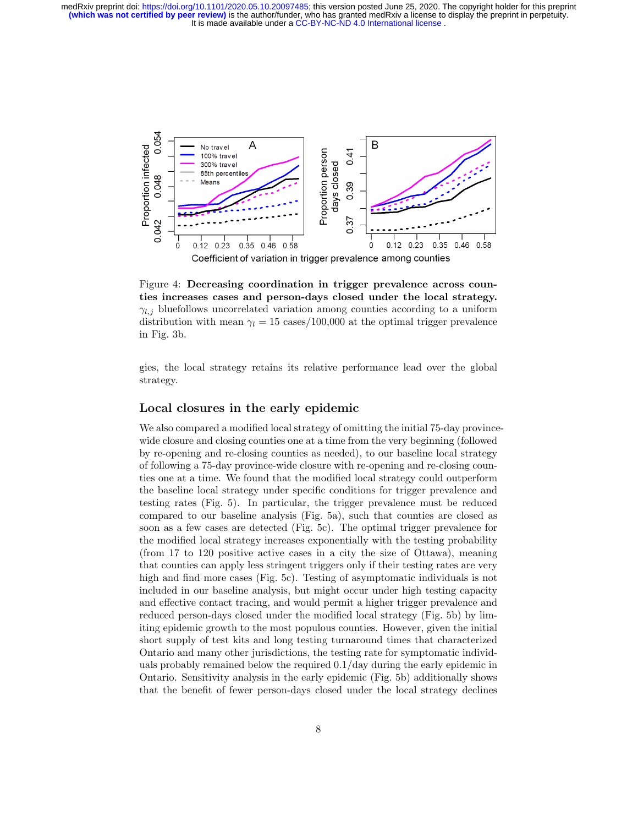

Figure 4: Decreasing coordination in trigger prevalence across counties increases cases and person-days closed under the local strategy.  $\gamma_{l,j}$  bluefollows uncorrelated variation among counties according to a uniform distribution with mean  $\gamma_l = 15$  cases/100,000 at the optimal trigger prevalence in Fig. 3b.

gies, the local strategy retains its relative performance lead over the global strategy.

## Local closures in the early epidemic

We also compared a modified local strategy of omitting the initial 75-day provincewide closure and closing counties one at a time from the very beginning (followed by re-opening and re-closing counties as needed), to our baseline local strategy of following a 75-day province-wide closure with re-opening and re-closing counties one at a time. We found that the modified local strategy could outperform the baseline local strategy under specific conditions for trigger prevalence and testing rates (Fig. 5). In particular, the trigger prevalence must be reduced compared to our baseline analysis (Fig. 5a), such that counties are closed as soon as a few cases are detected (Fig. 5c). The optimal trigger prevalence for the modified local strategy increases exponentially with the testing probability (from 17 to 120 positive active cases in a city the size of Ottawa), meaning that counties can apply less stringent triggers only if their testing rates are very high and find more cases (Fig. 5c). Testing of asymptomatic individuals is not included in our baseline analysis, but might occur under high testing capacity and effective contact tracing, and would permit a higher trigger prevalence and reduced person-days closed under the modified local strategy (Fig. 5b) by limiting epidemic growth to the most populous counties. However, given the initial short supply of test kits and long testing turnaround times that characterized Ontario and many other jurisdictions, the testing rate for symptomatic individuals probably remained below the required 0.1/day during the early epidemic in Ontario. Sensitivity analysis in the early epidemic (Fig. 5b) additionally shows that the benefit of fewer person-days closed under the local strategy declines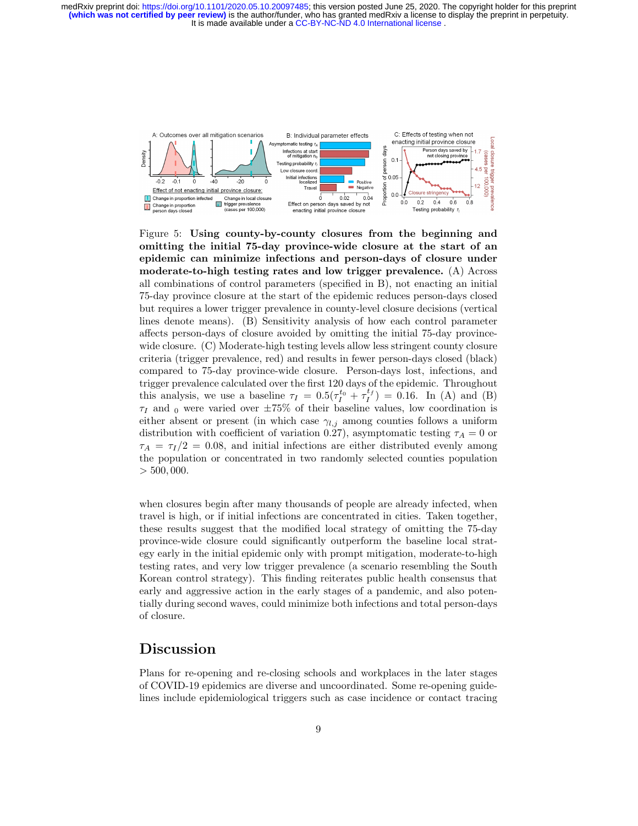

Figure 5: Using county-by-county closures from the beginning and omitting the initial 75-day province-wide closure at the start of an epidemic can minimize infections and person-days of closure under moderate-to-high testing rates and low trigger prevalence. (A) Across all combinations of control parameters (specified in B), not enacting an initial 75-day province closure at the start of the epidemic reduces person-days closed but requires a lower trigger prevalence in county-level closure decisions (vertical lines denote means). (B) Sensitivity analysis of how each control parameter affects person-days of closure avoided by omitting the initial 75-day provincewide closure. (C) Moderate-high testing levels allow less stringent county closure criteria (trigger prevalence, red) and results in fewer person-days closed (black) compared to 75-day province-wide closure. Person-days lost, infections, and trigger prevalence calculated over the first 120 days of the epidemic. Throughout this analysis, we use a baseline  $\tau_I = 0.5(\tau_I^{t_0} + \tau_I^{t_f}) = 0.16$ . In (A) and (B)  $\tau_I$  and <sub>0</sub> were varied over  $\pm 75\%$  of their baseline values, low coordination is either absent or present (in which case  $\gamma_{l,j}$  among counties follows a uniform distribution with coefficient of variation 0.27), asymptomatic testing  $\tau_A = 0$  or  $\tau_A = \tau_I/2 = 0.08$ , and initial infections are either distributed evenly among the population or concentrated in two randomly selected counties population  $> 500,000.$ 

when closures begin after many thousands of people are already infected, when travel is high, or if initial infections are concentrated in cities. Taken together, these results suggest that the modified local strategy of omitting the 75-day province-wide closure could significantly outperform the baseline local strategy early in the initial epidemic only with prompt mitigation, moderate-to-high testing rates, and very low trigger prevalence (a scenario resembling the South Korean control strategy). This finding reiterates public health consensus that early and aggressive action in the early stages of a pandemic, and also potentially during second waves, could minimize both infections and total person-days of closure.

## Discussion

Plans for re-opening and re-closing schools and workplaces in the later stages of COVID-19 epidemics are diverse and uncoordinated. Some re-opening guidelines include epidemiological triggers such as case incidence or contact tracing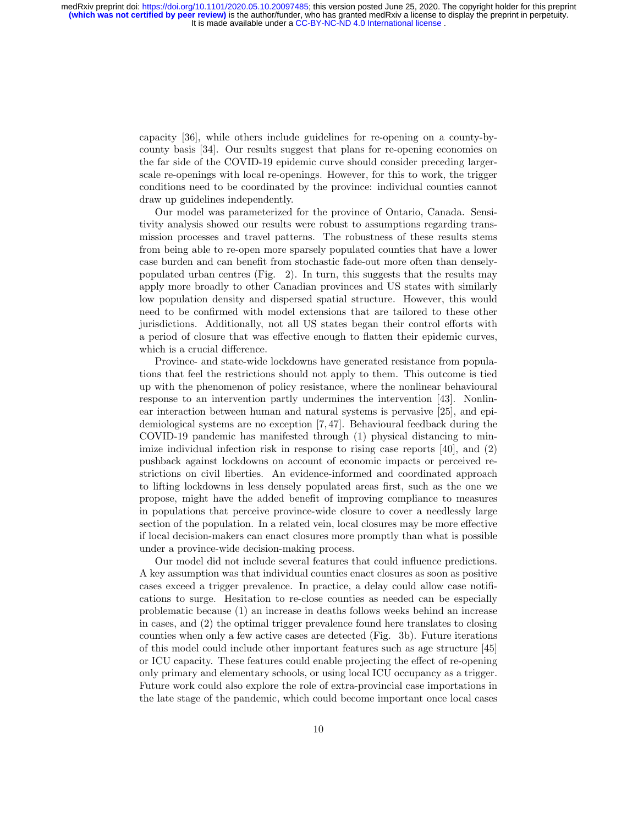> capacity [36], while others include guidelines for re-opening on a county-bycounty basis [34]. Our results suggest that plans for re-opening economies on the far side of the COVID-19 epidemic curve should consider preceding largerscale re-openings with local re-openings. However, for this to work, the trigger conditions need to be coordinated by the province: individual counties cannot draw up guidelines independently.

> Our model was parameterized for the province of Ontario, Canada. Sensitivity analysis showed our results were robust to assumptions regarding transmission processes and travel patterns. The robustness of these results stems from being able to re-open more sparsely populated counties that have a lower case burden and can benefit from stochastic fade-out more often than denselypopulated urban centres (Fig. 2). In turn, this suggests that the results may apply more broadly to other Canadian provinces and US states with similarly low population density and dispersed spatial structure. However, this would need to be confirmed with model extensions that are tailored to these other jurisdictions. Additionally, not all US states began their control efforts with a period of closure that was effective enough to flatten their epidemic curves, which is a crucial difference.

> Province- and state-wide lockdowns have generated resistance from populations that feel the restrictions should not apply to them. This outcome is tied up with the phenomenon of policy resistance, where the nonlinear behavioural response to an intervention partly undermines the intervention [43]. Nonlinear interaction between human and natural systems is pervasive [25], and epidemiological systems are no exception [7, 47]. Behavioural feedback during the COVID-19 pandemic has manifested through (1) physical distancing to minimize individual infection risk in response to rising case reports [40], and (2) pushback against lockdowns on account of economic impacts or perceived restrictions on civil liberties. An evidence-informed and coordinated approach to lifting lockdowns in less densely populated areas first, such as the one we propose, might have the added benefit of improving compliance to measures in populations that perceive province-wide closure to cover a needlessly large section of the population. In a related vein, local closures may be more effective if local decision-makers can enact closures more promptly than what is possible under a province-wide decision-making process.

> Our model did not include several features that could influence predictions. A key assumption was that individual counties enact closures as soon as positive cases exceed a trigger prevalence. In practice, a delay could allow case notifications to surge. Hesitation to re-close counties as needed can be especially problematic because (1) an increase in deaths follows weeks behind an increase in cases, and (2) the optimal trigger prevalence found here translates to closing counties when only a few active cases are detected (Fig. 3b). Future iterations of this model could include other important features such as age structure [45] or ICU capacity. These features could enable projecting the effect of re-opening only primary and elementary schools, or using local ICU occupancy as a trigger. Future work could also explore the role of extra-provincial case importations in the late stage of the pandemic, which could become important once local cases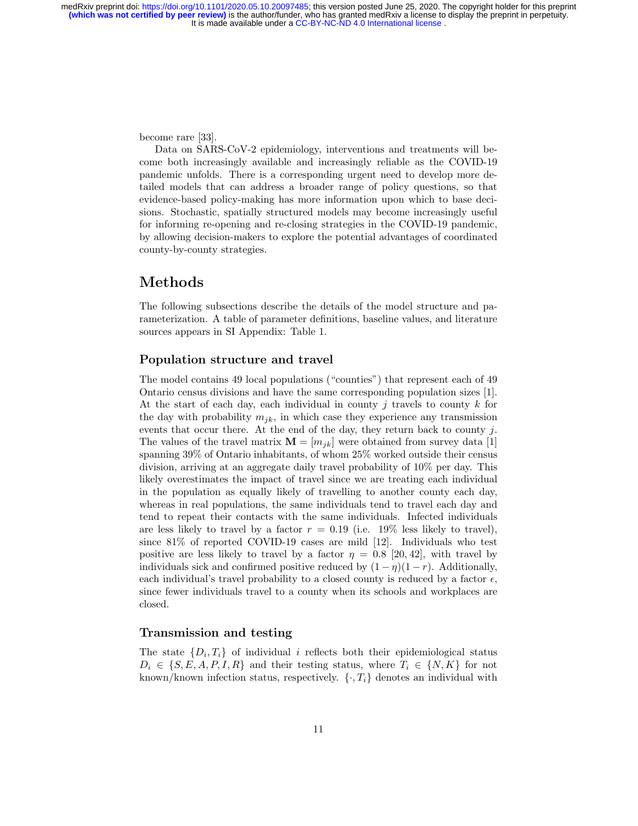become rare [33].

Data on SARS-CoV-2 epidemiology, interventions and treatments will become both increasingly available and increasingly reliable as the COVID-19 pandemic unfolds. There is a corresponding urgent need to develop more detailed models that can address a broader range of policy questions, so that evidence-based policy-making has more information upon which to base decisions. Stochastic, spatially structured models may become increasingly useful for informing re-opening and re-closing strategies in the COVID-19 pandemic, by allowing decision-makers to explore the potential advantages of coordinated county-by-county strategies.

# Methods

The following subsections describe the details of the model structure and parameterization. A table of parameter definitions, baseline values, and literature sources appears in SI Appendix: Table 1.

## Population structure and travel

The model contains 49 local populations ("counties") that represent each of 49 Ontario census divisions and have the same corresponding population sizes [1]. At the start of each day, each individual in county j travels to county  $k$  for the day with probability  $m_{ik}$ , in which case they experience any transmission events that occur there. At the end of the day, they return back to county j. The values of the travel matrix  $\mathbf{M} = [m_{ik}]$  were obtained from survey data [1] spanning 39% of Ontario inhabitants, of whom 25% worked outside their census division, arriving at an aggregate daily travel probability of 10% per day. This likely overestimates the impact of travel since we are treating each individual in the population as equally likely of travelling to another county each day, whereas in real populations, the same individuals tend to travel each day and tend to repeat their contacts with the same individuals. Infected individuals are less likely to travel by a factor  $r = 0.19$  (i.e. 19% less likely to travel), since 81% of reported COVID-19 cases are mild [12]. Individuals who test positive are less likely to travel by a factor  $\eta = 0.8$  [20, 42], with travel by individuals sick and confirmed positive reduced by  $(1 - \eta)(1 - r)$ . Additionally, each individual's travel probability to a closed county is reduced by a factor  $\epsilon$ , since fewer individuals travel to a county when its schools and workplaces are closed.

## Transmission and testing

The state  $\{D_i, T_i\}$  of individual i reflects both their epidemiological status  $D_i \in \{S, E, A, P, I, R\}$  and their testing status, where  $T_i \in \{N, K\}$  for not known/known infection status, respectively.  $\{ \cdot, T_i \}$  denotes an individual with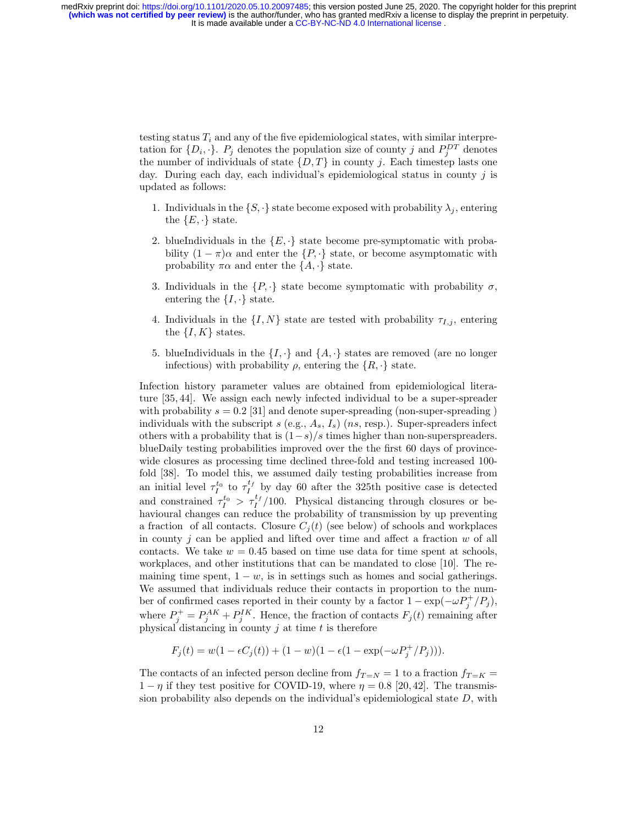> testing status  $T_i$  and any of the five epidemiological states, with similar interpretation for  $\{D_i, \cdot\}$ .  $P_j$  denotes the population size of county j and  $P_j^{DT}$  denotes the number of individuals of state  $\{D, T\}$  in county j. Each timestep lasts one day. During each day, each individual's epidemiological status in county  $j$  is updated as follows:

- 1. Individuals in the  $\{S, \cdot\}$  state become exposed with probability  $\lambda_j$ , entering the  $\{E, \cdot\}$  state.
- 2. blueIndividuals in the  $\{E, \cdot\}$  state become pre-symptomatic with probability  $(1 - \pi)\alpha$  and enter the  $\{P, \cdot\}$  state, or become asymptomatic with probability  $\pi\alpha$  and enter the  $\{A, \cdot\}$  state.
- 3. Individuals in the  $\{P, \cdot\}$  state become symptomatic with probability  $\sigma$ , entering the  $\{I, \cdot\}$  state.
- 4. Individuals in the  $\{I, N\}$  state are tested with probability  $\tau_{I,j}$ , entering the  $\{I, K\}$  states.
- 5. blueIndividuals in the  $\{I, \cdot\}$  and  $\{A, \cdot\}$  states are removed (are no longer infectious) with probability  $\rho$ , entering the  $\{R, \cdot\}$  state.

Infection history parameter values are obtained from epidemiological literature [35, 44]. We assign each newly infected individual to be a super-spreader with probability  $s = 0.2$  [31] and denote super-spreading (non-super-spreading) individuals with the subscript s (e.g.,  $A_s$ ,  $I_s$ ) (ns, resp.). Super-spreaders infect others with a probability that is  $(1-s)/s$  times higher than non-superspreaders. blueDaily testing probabilities improved over the the first 60 days of provincewide closures as processing time declined three-fold and testing increased 100 fold [38]. To model this, we assumed daily testing probabilities increase from an initial level  $\tau_I^{t_0}$  to  $\tau_I^{t_f}$  by day 60 after the 325th positive case is detected and constrained  $\tau_I^{t_0} > \tau_I^{t_f}/100$ . Physical distancing through closures or behavioural changes can reduce the probability of transmission by up preventing a fraction of all contacts. Closure  $C_i(t)$  (see below) of schools and workplaces in county  $j$  can be applied and lifted over time and affect a fraction  $w$  of all contacts. We take  $w = 0.45$  based on time use data for time spent at schools, workplaces, and other institutions that can be mandated to close [10]. The remaining time spent,  $1 - w$ , is in settings such as homes and social gatherings. We assumed that individuals reduce their contacts in proportion to the number of confirmed cases reported in their county by a factor  $1 - \exp(-\omega P_j^+/P_j)$ , where  $P_j^+ = P_j^{AK} + P_j^{IK}$ . Hence, the fraction of contacts  $F_j(t)$  remaining after physical distancing in county  $j$  at time  $t$  is therefore

$$
F_j(t) = w(1 - \epsilon C_j(t)) + (1 - w)(1 - \epsilon (1 - \exp(-\omega P_j^+/P_j))).
$$

The contacts of an infected person decline from  $f_{T=N} = 1$  to a fraction  $f_{T=K} =$  $1 - \eta$  if they test positive for COVID-19, where  $\eta = 0.8$  [20,42]. The transmission probability also depends on the individual's epidemiological state  $D$ , with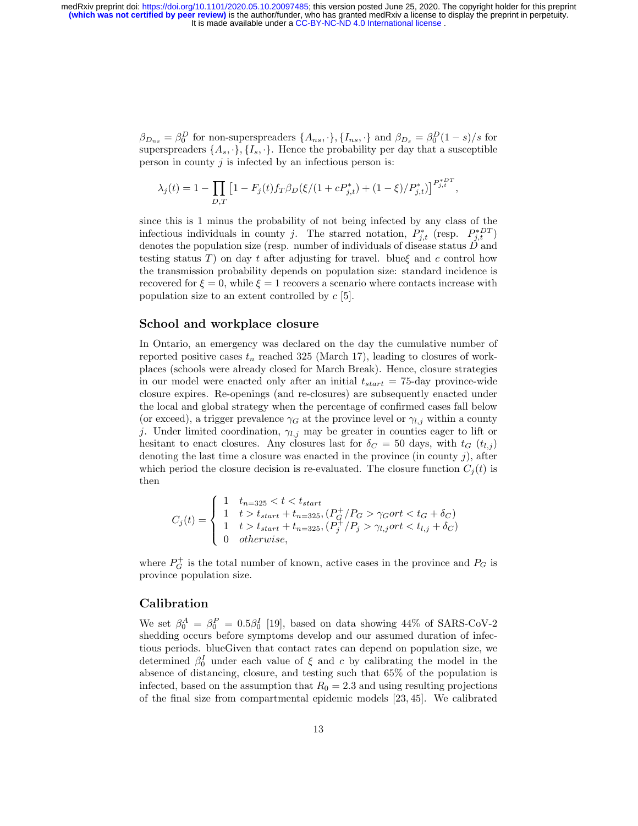> $\beta_{D_{ns}} = \beta_0^D$  for non-superspreaders  $\{A_{ns}, \cdot\}, \{I_{ns}, \cdot\}$  and  $\beta_{D_s} = \beta_0^D(1-s)/s$  for superspreaders  $\{A_s, \cdot\}, \{I_s, \cdot\}$ . Hence the probability per day that a susceptible person in county  $j$  is infected by an infectious person is:

$$
\lambda_j(t) = 1 - \prod_{D,T} \left[ 1 - F_j(t) f_T \beta_D(\xi/(1 + c P_{j,t}^*) + (1 - \xi)/P_{j,t}^*) \right]^{P_{j,t}^{*DT}},
$$

since this is 1 minus the probability of not being infected by any class of the infectious individuals in county j. The starred notation,  $P_{j,t}^*$  (resp.  $P_{j,t}^{*DT}$ ) denotes the population size (resp. number of individuals of disease status  $\tilde{D}$  and testing status T) on day t after adjusting for travel. blue $\xi$  and c control how the transmission probability depends on population size: standard incidence is recovered for  $\xi = 0$ , while  $\xi = 1$  recovers a scenario where contacts increase with population size to an extent controlled by  $c$  [5].

#### School and workplace closure

In Ontario, an emergency was declared on the day the cumulative number of reported positive cases  $t_n$  reached 325 (March 17), leading to closures of workplaces (schools were already closed for March Break). Hence, closure strategies in our model were enacted only after an initial  $t_{start} = 75$ -day province-wide closure expires. Re-openings (and re-closures) are subsequently enacted under the local and global strategy when the percentage of confirmed cases fall below (or exceed), a trigger prevalence  $\gamma_G$  at the province level or  $\gamma_{l,j}$  within a county j. Under limited coordination,  $\gamma_{l,j}$  may be greater in counties eager to lift or hesitant to enact closures. Any closures last for  $\delta_C = 50$  days, with  $t_G$  ( $t_{l,j}$ ) denoting the last time a closure was enacted in the province (in county  $j$ ), after which period the closure decision is re-evaluated. The closure function  $C_i(t)$  is then

$$
C_j(t) = \begin{cases} 1 & t_{n=325} < t < t_{start} \\ 1 & t > t_{start} + t_{n=325}, (P_G^+/P_G > \gamma_Gort < t_G + \delta_C) \\ 1 & t > t_{start} + t_{n=325}, (P_j^+/P_j > \gamma_{l,j}ort < t_{l,j} + \delta_C) \\ 0 & otherwise, \end{cases}
$$

where  $P_G^+$  is the total number of known, active cases in the province and  $P_G$  is province population size.

## Calibration

We set  $\beta_0^A = \beta_0^P = 0.5\beta_0^I$  [19], based on data showing 44% of SARS-CoV-2 shedding occurs before symptoms develop and our assumed duration of infectious periods. blueGiven that contact rates can depend on population size, we determined  $\beta_0^I$  under each value of  $\xi$  and c by calibrating the model in the absence of distancing, closure, and testing such that 65% of the population is infected, based on the assumption that  $R_0 = 2.3$  and using resulting projections of the final size from compartmental epidemic models [23, 45]. We calibrated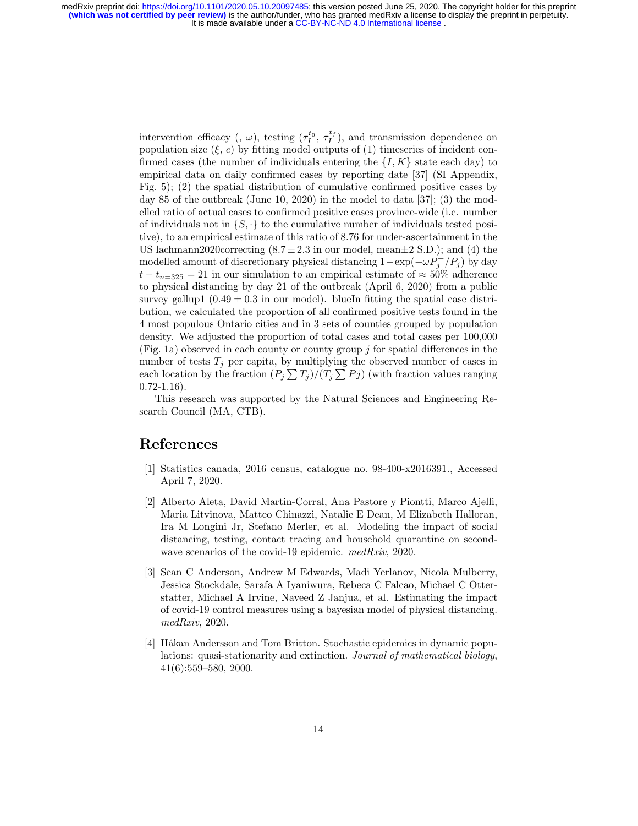> intervention efficacy (,  $\omega$ ), testing  $(\tau_I^{t_0}, \tau_I^{t_f})$ , and transmission dependence on population size  $(\xi, c)$  by fitting model outputs of (1) timeseries of incident confirmed cases (the number of individuals entering the  $\{I, K\}$  state each day) to empirical data on daily confirmed cases by reporting date [37] (SI Appendix, Fig. 5); (2) the spatial distribution of cumulative confirmed positive cases by day 85 of the outbreak (June 10, 2020) in the model to data [37]; (3) the modelled ratio of actual cases to confirmed positive cases province-wide (i.e. number of individuals not in  $\{S, \cdot\}$  to the cumulative number of individuals tested positive), to an empirical estimate of this ratio of 8.76 for under-ascertainment in the US lachmann2020correcting  $(8.7 \pm 2.3 \text{ in our model, mean} \pm 2 \text{ S.D.})$ ; and (4) the modelled amount of discretionary physical distancing  $1 - \exp(-\omega P_j^+/P_j)$  by day  $t - t_{n=325} = 21$  in our simulation to an empirical estimate of  $\approx 50\%$  adherence to physical distancing by day 21 of the outbreak (April 6, 2020) from a public survey gallup1  $(0.49 \pm 0.3 \text{ in our model})$ . blueIn fitting the spatial case distribution, we calculated the proportion of all confirmed positive tests found in the 4 most populous Ontario cities and in 3 sets of counties grouped by population density. We adjusted the proportion of total cases and total cases per 100,000 (Fig. 1a) observed in each county or county group  $j$  for spatial differences in the number of tests  $T_i$  per capita, by multiplying the observed number of cases in each location by the fraction  $(P_j \sum T_j)/(T_j \sum P_j)$  (with fraction values ranging  $0.72 - 1.16$ .

> This research was supported by the Natural Sciences and Engineering Research Council (MA, CTB).

# References

- [1] Statistics canada, 2016 census, catalogue no. 98-400-x2016391., Accessed April 7, 2020.
- [2] Alberto Aleta, David Martin-Corral, Ana Pastore y Piontti, Marco Ajelli, Maria Litvinova, Matteo Chinazzi, Natalie E Dean, M Elizabeth Halloran, Ira M Longini Jr, Stefano Merler, et al. Modeling the impact of social distancing, testing, contact tracing and household quarantine on secondwave scenarios of the covid-19 epidemic. medRxiv, 2020.
- [3] Sean C Anderson, Andrew M Edwards, Madi Yerlanov, Nicola Mulberry, Jessica Stockdale, Sarafa A Iyaniwura, Rebeca C Falcao, Michael C Otterstatter, Michael A Irvine, Naveed Z Janjua, et al. Estimating the impact of covid-19 control measures using a bayesian model of physical distancing. medRxiv, 2020.
- [4] Håkan Andersson and Tom Britton. Stochastic epidemics in dynamic populations: quasi-stationarity and extinction. Journal of mathematical biology, 41(6):559–580, 2000.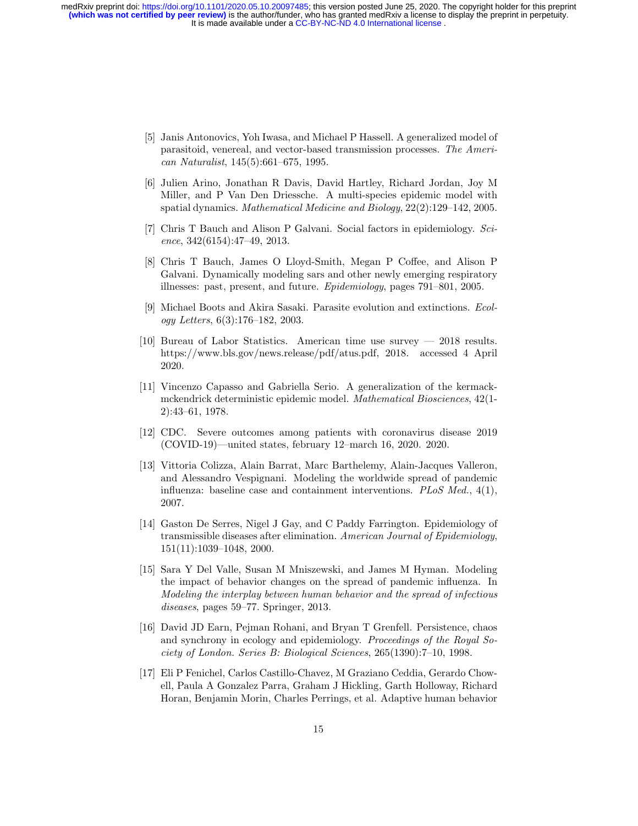- [5] Janis Antonovics, Yoh Iwasa, and Michael P Hassell. A generalized model of parasitoid, venereal, and vector-based transmission processes. The American Naturalist, 145(5):661–675, 1995.
- [6] Julien Arino, Jonathan R Davis, David Hartley, Richard Jordan, Joy M Miller, and P Van Den Driessche. A multi-species epidemic model with spatial dynamics. Mathematical Medicine and Biology, 22(2):129–142, 2005.
- [7] Chris T Bauch and Alison P Galvani. Social factors in epidemiology. Science, 342(6154):47–49, 2013.
- [8] Chris T Bauch, James O Lloyd-Smith, Megan P Coffee, and Alison P Galvani. Dynamically modeling sars and other newly emerging respiratory illnesses: past, present, and future. Epidemiology, pages 791–801, 2005.
- [9] Michael Boots and Akira Sasaki. Parasite evolution and extinctions. Ecology Letters, 6(3):176–182, 2003.
- [10] Bureau of Labor Statistics. American time use survey 2018 results. https://www.bls.gov/news.release/pdf/atus.pdf, 2018. accessed 4 April 2020.
- [11] Vincenzo Capasso and Gabriella Serio. A generalization of the kermackmckendrick deterministic epidemic model. Mathematical Biosciences, 42(1- 2):43–61, 1978.
- [12] CDC. Severe outcomes among patients with coronavirus disease 2019 (COVID-19)—united states, february 12–march 16, 2020. 2020.
- [13] Vittoria Colizza, Alain Barrat, Marc Barthelemy, Alain-Jacques Valleron, and Alessandro Vespignani. Modeling the worldwide spread of pandemic influenza: baseline case and containment interventions.  $PLoS$  Med.,  $4(1)$ , 2007.
- [14] Gaston De Serres, Nigel J Gay, and C Paddy Farrington. Epidemiology of transmissible diseases after elimination. American Journal of Epidemiology, 151(11):1039–1048, 2000.
- [15] Sara Y Del Valle, Susan M Mniszewski, and James M Hyman. Modeling the impact of behavior changes on the spread of pandemic influenza. In Modeling the interplay between human behavior and the spread of infectious diseases, pages 59–77. Springer, 2013.
- [16] David JD Earn, Pejman Rohani, and Bryan T Grenfell. Persistence, chaos and synchrony in ecology and epidemiology. Proceedings of the Royal Society of London. Series B: Biological Sciences, 265(1390):7–10, 1998.
- [17] Eli P Fenichel, Carlos Castillo-Chavez, M Graziano Ceddia, Gerardo Chowell, Paula A Gonzalez Parra, Graham J Hickling, Garth Holloway, Richard Horan, Benjamin Morin, Charles Perrings, et al. Adaptive human behavior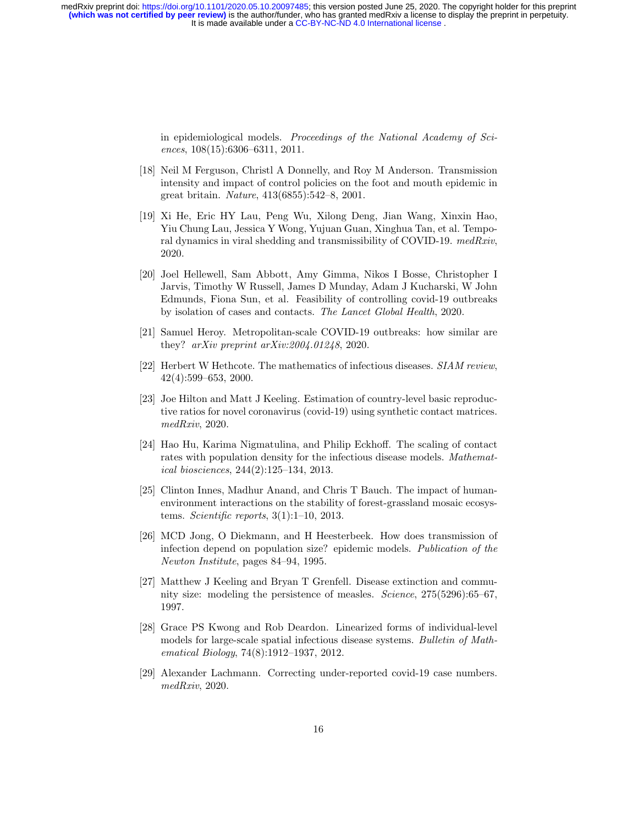> in epidemiological models. Proceedings of the National Academy of Sciences, 108(15):6306–6311, 2011.

- [18] Neil M Ferguson, Christl A Donnelly, and Roy M Anderson. Transmission intensity and impact of control policies on the foot and mouth epidemic in great britain. Nature, 413(6855):542–8, 2001.
- [19] Xi He, Eric HY Lau, Peng Wu, Xilong Deng, Jian Wang, Xinxin Hao, Yiu Chung Lau, Jessica Y Wong, Yujuan Guan, Xinghua Tan, et al. Temporal dynamics in viral shedding and transmissibility of COVID-19. medRxiv, 2020.
- [20] Joel Hellewell, Sam Abbott, Amy Gimma, Nikos I Bosse, Christopher I Jarvis, Timothy W Russell, James D Munday, Adam J Kucharski, W John Edmunds, Fiona Sun, et al. Feasibility of controlling covid-19 outbreaks by isolation of cases and contacts. The Lancet Global Health, 2020.
- [21] Samuel Heroy. Metropolitan-scale COVID-19 outbreaks: how similar are they? arXiv preprint arXiv:2004.01248, 2020.
- [22] Herbert W Hethcote. The mathematics of infectious diseases. SIAM review, 42(4):599–653, 2000.
- [23] Joe Hilton and Matt J Keeling. Estimation of country-level basic reproductive ratios for novel coronavirus (covid-19) using synthetic contact matrices. medRxiv, 2020.
- [24] Hao Hu, Karima Nigmatulina, and Philip Eckhoff. The scaling of contact rates with population density for the infectious disease models. Mathematical biosciences, 244(2):125–134, 2013.
- [25] Clinton Innes, Madhur Anand, and Chris T Bauch. The impact of humanenvironment interactions on the stability of forest-grassland mosaic ecosystems. Scientific reports, 3(1):1–10, 2013.
- [26] MCD Jong, O Diekmann, and H Heesterbeek. How does transmission of infection depend on population size? epidemic models. Publication of the Newton Institute, pages 84–94, 1995.
- [27] Matthew J Keeling and Bryan T Grenfell. Disease extinction and community size: modeling the persistence of measles. Science, 275(5296):65–67, 1997.
- [28] Grace PS Kwong and Rob Deardon. Linearized forms of individual-level models for large-scale spatial infectious disease systems. Bulletin of Mathematical Biology, 74(8):1912–1937, 2012.
- [29] Alexander Lachmann. Correcting under-reported covid-19 case numbers. medRxiv, 2020.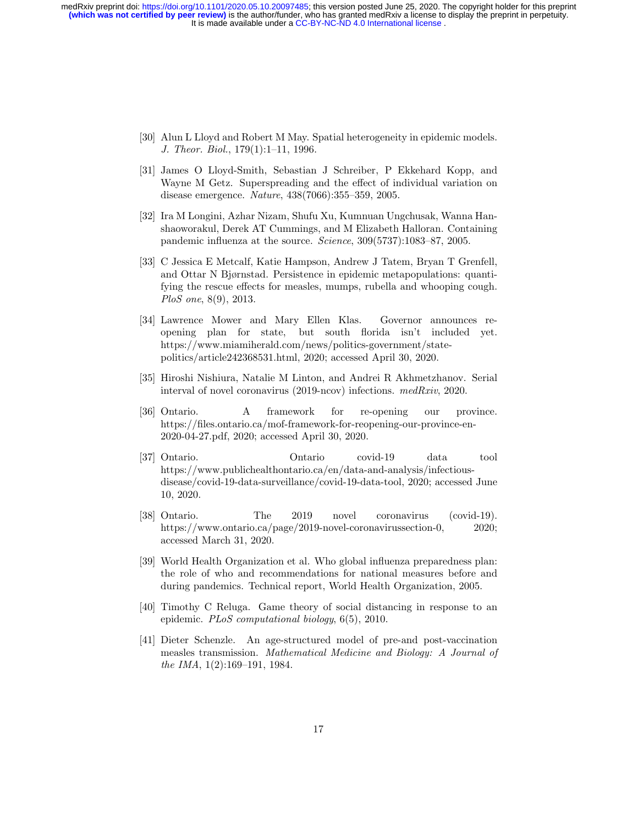- [30] Alun L Lloyd and Robert M May. Spatial heterogeneity in epidemic models. J. Theor. Biol., 179(1):1–11, 1996.
- [31] James O Lloyd-Smith, Sebastian J Schreiber, P Ekkehard Kopp, and Wayne M Getz. Superspreading and the effect of individual variation on disease emergence. Nature, 438(7066):355–359, 2005.
- [32] Ira M Longini, Azhar Nizam, Shufu Xu, Kumnuan Ungchusak, Wanna Hanshaoworakul, Derek AT Cummings, and M Elizabeth Halloran. Containing pandemic influenza at the source. Science, 309(5737):1083–87, 2005.
- [33] C Jessica E Metcalf, Katie Hampson, Andrew J Tatem, Bryan T Grenfell, and Ottar N Bjørnstad. Persistence in epidemic metapopulations: quantifying the rescue effects for measles, mumps, rubella and whooping cough. PloS one, 8(9), 2013.
- [34] Lawrence Mower and Mary Ellen Klas. Governor announces reopening plan for state, but south florida isn't included yet. https://www.miamiherald.com/news/politics-government/statepolitics/article242368531.html, 2020; accessed April 30, 2020.
- [35] Hiroshi Nishiura, Natalie M Linton, and Andrei R Akhmetzhanov. Serial interval of novel coronavirus (2019-ncov) infections. medRxiv, 2020.
- [36] Ontario. A framework for re-opening our province. https://files.ontario.ca/mof-framework-for-reopening-our-province-en-2020-04-27.pdf, 2020; accessed April 30, 2020.
- [37] Ontario. Ontario covid-19 data tool https://www.publichealthontario.ca/en/data-and-analysis/infectiousdisease/covid-19-data-surveillance/covid-19-data-tool, 2020; accessed June 10, 2020.
- [38] Ontario. The 2019 novel coronavirus (covid-19). https://www.ontario.ca/page/2019-novel-coronavirussection-0, 2020; accessed March 31, 2020.
- [39] World Health Organization et al. Who global influenza preparedness plan: the role of who and recommendations for national measures before and during pandemics. Technical report, World Health Organization, 2005.
- [40] Timothy C Reluga. Game theory of social distancing in response to an epidemic. PLoS computational biology, 6(5), 2010.
- [41] Dieter Schenzle. An age-structured model of pre-and post-vaccination measles transmission. Mathematical Medicine and Biology: A Journal of the IMA, 1(2):169–191, 1984.